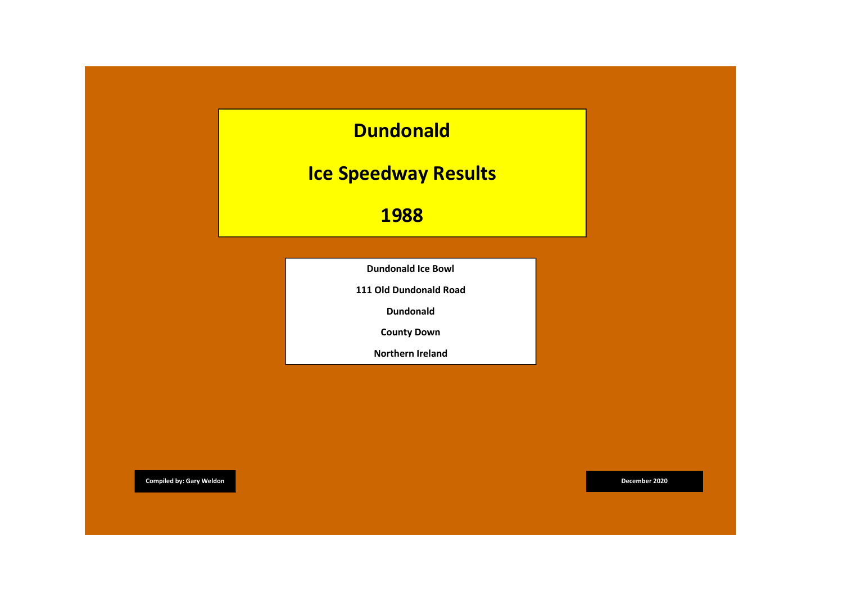

County Down

Northern Ireland

**Compiled by: Gary Weldon December 2020 Compiled by: Gary Weldon December 2020**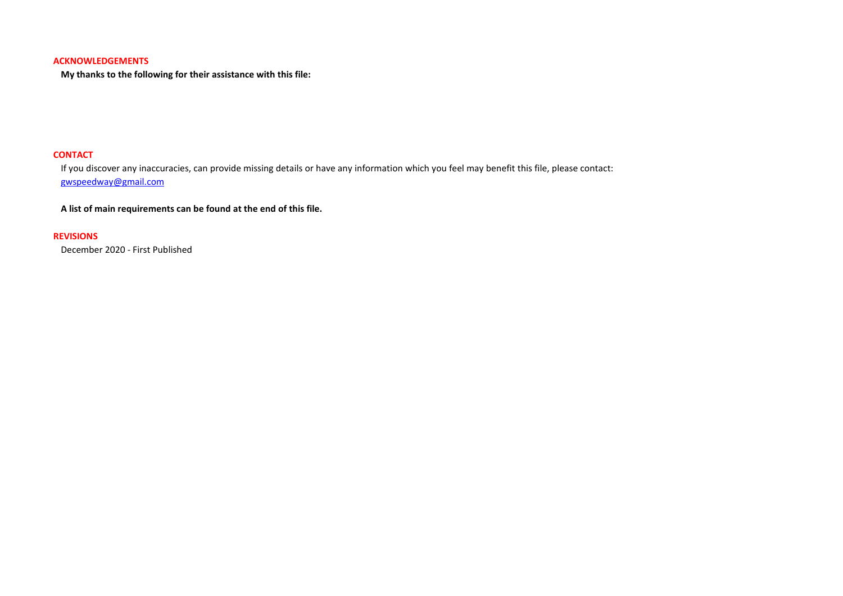## ACKNOWLEDGEMENTS

My thanks to the following for their assistance with this file:

# **CONTACT**

If you discover any inaccuracies, can provide missing details or have any information which you feel may benefit this file, please contact: gwspeedway@gmail.com

A list of main requirements can be found at the end of this file.

## REVISIONS

December 2020 - First Published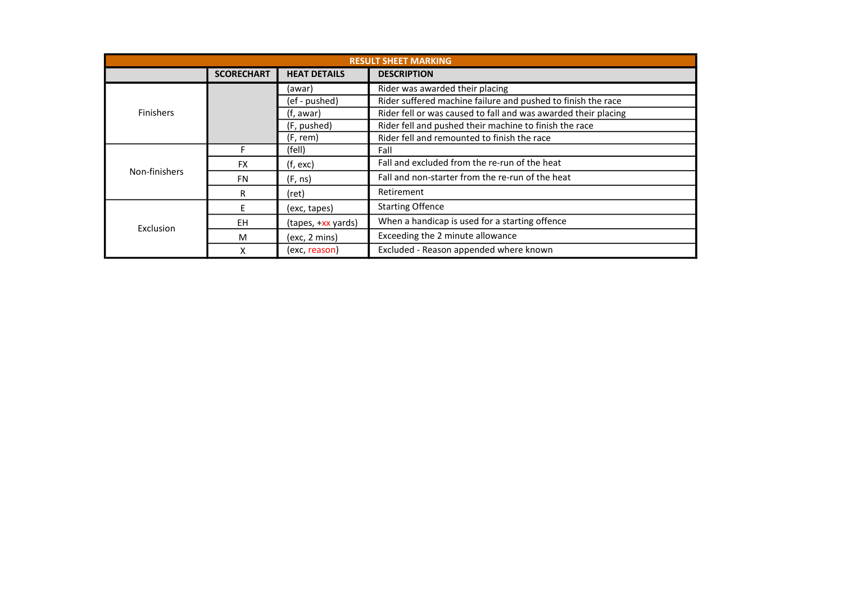| <b>RESULT SHEET MARKING</b> |                   |                     |                                                                |
|-----------------------------|-------------------|---------------------|----------------------------------------------------------------|
|                             | <b>SCORECHART</b> | <b>HEAT DETAILS</b> | <b>DESCRIPTION</b>                                             |
| <b>Finishers</b>            |                   | (awar)              | Rider was awarded their placing                                |
|                             |                   | (ef - pushed)       | Rider suffered machine failure and pushed to finish the race   |
|                             |                   | (f, awar)           | Rider fell or was caused to fall and was awarded their placing |
|                             |                   | (F, pushed)         | Rider fell and pushed their machine to finish the race         |
|                             |                   | (F, rem)            | Rider fell and remounted to finish the race                    |
| Non-finishers               |                   | (fell)              | Fall                                                           |
|                             | <b>FX</b>         | (f, exc)            | Fall and excluded from the re-run of the heat                  |
|                             | <b>FN</b>         | (F, ns)             | Fall and non-starter from the re-run of the heat               |
|                             | R                 | (ret)               | Retirement                                                     |
| Exclusion                   | F                 | (exc, tapes)        | <b>Starting Offence</b>                                        |
|                             | <b>EH</b>         | (tapes, +xx yards)  | When a handicap is used for a starting offence                 |
|                             | M                 | (exc, 2 mins)       | Exceeding the 2 minute allowance                               |
|                             |                   | (exc, reason)       | Excluded - Reason appended where known                         |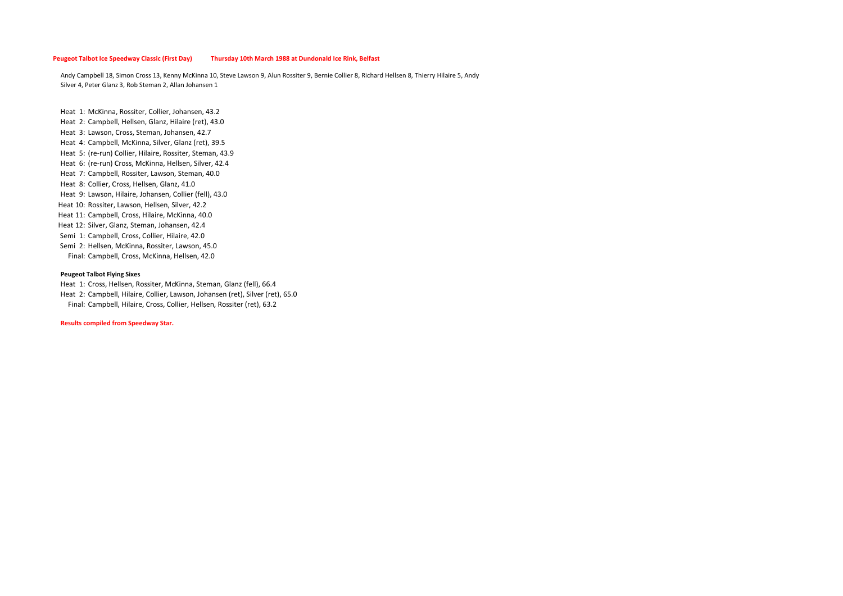#### Peugeot Talbot Ice Speedway Classic (First Day) Thursday 10th March 1988 at Dundonald Ice Rink, Belfast

Andy Campbell 18, Simon Cross 13, Kenny McKinna 10, Steve Lawson 9, Alun Rossiter 9, Bernie Collier 8, Richard Hellsen 8, Thierry Hilaire 5, Andy Silver 4, Peter Glanz 3, Rob Steman 2, Allan Johansen 1

Heat 1: McKinna, Rossiter, Collier, Johansen, 43.2 Heat 2: Campbell, Hellsen, Glanz, Hilaire (ret), 43.0 Heat 3: Lawson, Cross, Steman, Johansen, 42.7 Heat 4: Campbell, McKinna, Silver, Glanz (ret), 39.5 Heat 5: (re-run) Collier, Hilaire, Rossiter, Steman, 43.9 Heat 6: (re-run) Cross, McKinna, Hellsen, Silver, 42.4 Heat 7: Campbell, Rossiter, Lawson, Steman, 40.0 Heat 8: Collier, Cross, Hellsen, Glanz, 41.0 Heat 9: Lawson, Hilaire, Johansen, Collier (fell), 43.0 Heat 10: Rossiter, Lawson, Hellsen, Silver, 42.2 Heat 11: Campbell, Cross, Hilaire, McKinna, 40.0 Heat 12: Silver, Glanz, Steman, Johansen, 42.4 Semi 1: Campbell, Cross, Collier, Hilaire, 42.0 Semi 2: Hellsen, McKinna, Rossiter, Lawson, 45.0 Final: Campbell, Cross, McKinna, Hellsen, 42.0

### Peugeot Talbot Flying Sixes

Heat 1: Cross, Hellsen, Rossiter, McKinna, Steman, Glanz (fell), 66.4 Heat 2: Campbell, Hilaire, Collier, Lawson, Johansen (ret), Silver (ret), 65.0 Final: Campbell, Hilaire, Cross, Collier, Hellsen, Rossiter (ret), 63.2

Results compiled from Speedway Star.